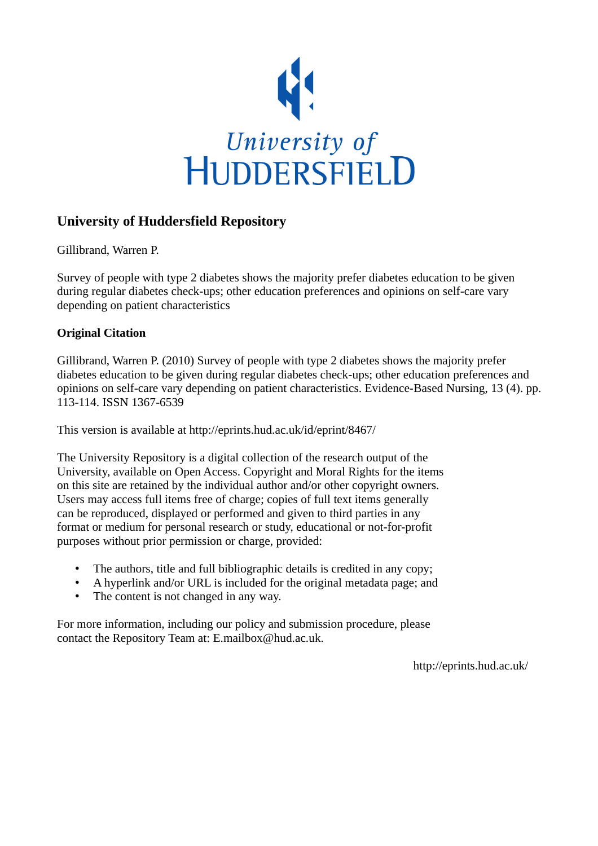

## **University of Huddersfield Repository**

Gillibrand, Warren P.

Survey of people with type 2 diabetes shows the majority prefer diabetes education to be given during regular diabetes check-ups; other education preferences and opinions on self-care vary depending on patient characteristics

## **Original Citation**

Gillibrand, Warren P. (2010) Survey of people with type 2 diabetes shows the majority prefer diabetes education to be given during regular diabetes check-ups; other education preferences and opinions on self-care vary depending on patient characteristics. Evidence-Based Nursing, 13 (4). pp. 113-114. ISSN 1367-6539

This version is available at http://eprints.hud.ac.uk/id/eprint/8467/

The University Repository is a digital collection of the research output of the University, available on Open Access. Copyright and Moral Rights for the items on this site are retained by the individual author and/or other copyright owners. Users may access full items free of charge; copies of full text items generally can be reproduced, displayed or performed and given to third parties in any format or medium for personal research or study, educational or not-for-profit purposes without prior permission or charge, provided:

- The authors, title and full bibliographic details is credited in any copy;
- A hyperlink and/or URL is included for the original metadata page; and
- The content is not changed in any way.

For more information, including our policy and submission procedure, please contact the Repository Team at: E.mailbox@hud.ac.uk.

http://eprints.hud.ac.uk/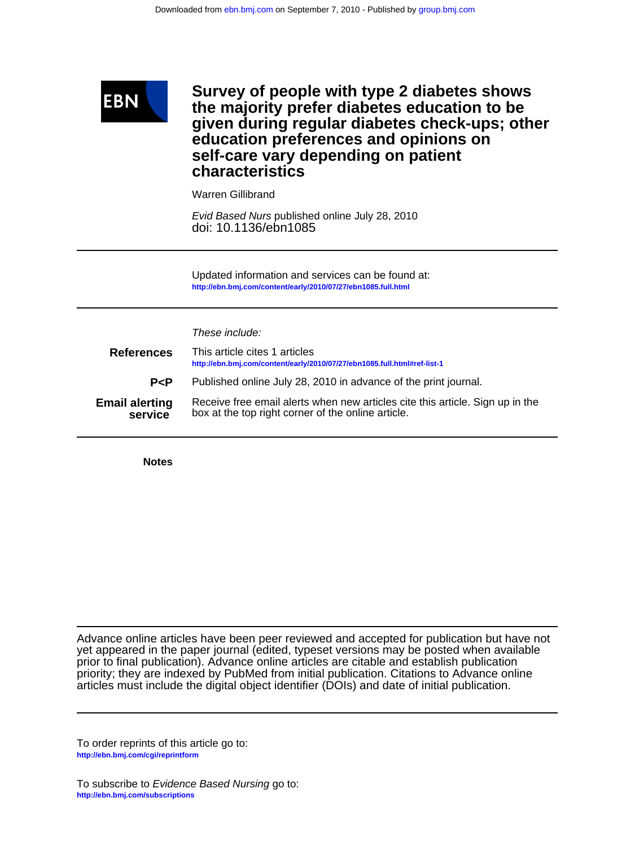| EBN                              | Survey of people with type 2 diabetes shows<br>the majority prefer diabetes education to be<br>given during regular diabetes check-ups; other<br>education preferences and opinions on<br>self-care vary depending on patient<br>characteristics |
|----------------------------------|--------------------------------------------------------------------------------------------------------------------------------------------------------------------------------------------------------------------------------------------------|
|                                  | Warren Gillibrand                                                                                                                                                                                                                                |
|                                  | Evid Based Nurs published online July 28, 2010<br>doi: 10.1136/ebn1085                                                                                                                                                                           |
|                                  | Updated information and services can be found at:<br>http://ebn.bmj.com/content/early/2010/07/27/ebn1085.full.html                                                                                                                               |
|                                  | These include:                                                                                                                                                                                                                                   |
| <b>References</b>                | This article cites 1 articles<br>http://ebn.bmj.com/content/early/2010/07/27/ebn1085.full.html#ref-list-1                                                                                                                                        |
| P < P                            | Published online July 28, 2010 in advance of the print journal.                                                                                                                                                                                  |
| <b>Email alerting</b><br>service | Receive free email alerts when new articles cite this article. Sign up in the<br>box at the top right corner of the online article.                                                                                                              |
|                                  |                                                                                                                                                                                                                                                  |

**Notes**

articles must include the digital object identifier (DOIs) and date of initial publication. priority; they are indexed by PubMed from initial publication. Citations to Advance online prior to final publication). Advance online articles are citable and establish publication yet appeared in the paper journal (edited, typeset versions may be posted when available Advance online articles have been peer reviewed and accepted for publication but have not

**<http://ebn.bmj.com/cgi/reprintform>** To order reprints of this article go to:

**<http://ebn.bmj.com/subscriptions>** To subscribe to Evidence Based Nursing go to: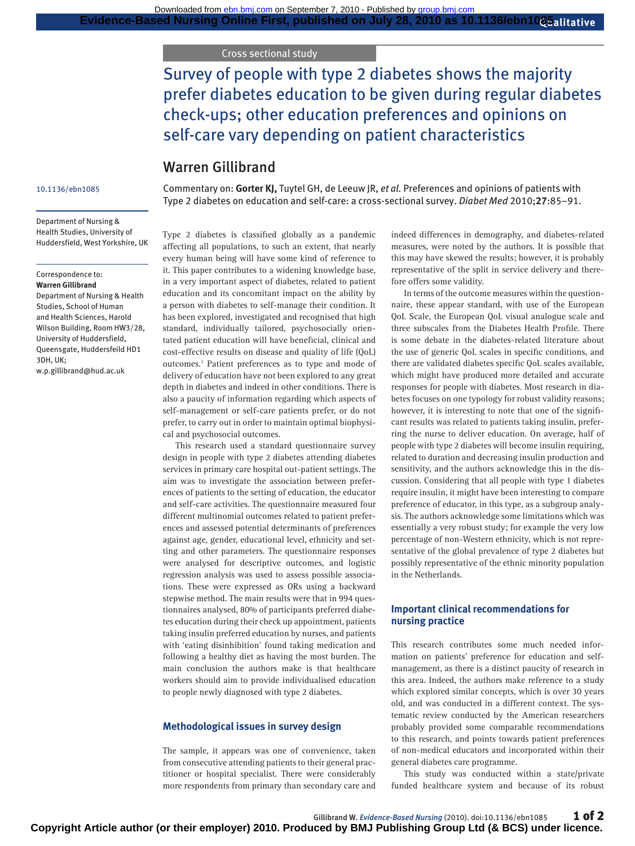Cross sectional study

# Survey of people with type 2 diabetes shows the majority prefer diabetes education to be given during regular diabetes check-ups; other education preferences and opinions on self-care vary depending on patient characteristics

## Warren Gillibrand

#### 10.1136/ebn1085

Department of Nursing & Health Studies, University of Huddersfield, West Yorkshire, UK

#### Correspondence to: **Warren Gillibrand**

Department of Nursing & Health Studies, School of Human and Health Sciences, Harold Wilson Building, Room HW3/28, University of Huddersfield, Queensgate, Huddersfeild HD1 3DH, UK; w.p.gillibrand@hud.ac.uk

Commentary on: **Gorter KJ,** Tuytel GH, de Leeuw JR, *et al.* Preferences and opinions of patients with Type 2 diabetes on education and self-care: a cross-sectional survey. *Diabet Med* 2010;**27**:85–91.

Type 2 diabetes is classified globally as a pandemic affecting all populations, to such an extent, that nearly every human being will have some kind of reference to it. This paper contributes to a widening knowledge base, in a very important aspect of diabetes, related to patient education and its concomitant impact on the ability by a person with diabetes to self-manage their condition. It has been explored, investigated and recognised that high standard, individually tailored, psychosocially orientated patient education will have beneficial, clinical and cost-effective results on disease and quality of life (QoL) outcomes.<sup>1</sup> Patient preferences as to type and mode of delivery of education have not been explored to any great depth in diabetes and indeed in other conditions. There is also a paucity of information regarding which aspects of self-management or self-care patients prefer, or do not prefer, to carry out in order to maintain optimal biophysical and psychosocial outcomes.

This research used a standard questionnaire survey design in people with type 2 diabetes attending diabetes services in primary care hospital out-patient settings. The aim was to investigate the association between preferences of patients to the setting of education, the educator and self-care activities. The questionnaire measured four different multinomial outcomes related to patient preferences and assessed potential determinants of preferences against age, gender, educational level, ethnicity and setting and other parameters. The questionnaire responses were analysed for descriptive outcomes, and logistic regression analysis was used to assess possible associations. These were expressed as ORs using a backward stepwise method. The main results were that in 994 questionnaires analysed, 80% of participants preferred diabetes education during their check up appointment, patients taking insulin preferred education by nurses, and patients with 'eating disinhibition' found taking medication and following a healthy diet as having the most burden. The main conclusion the authors make is that healthcare workers should aim to provide individualised education to people newly diagnosed with type 2 diabetes.

#### **Methodological issues in survey design**

The sample, it appears was one of convenience, taken from consecutive attending patients to their general practitioner or hospital specialist. There were considerably more respondents from primary than secondary care and

indeed differences in demography, and diabetes-related measures, were noted by the authors. It is possible that this may have skewed the results; however, it is probably representative of the split in service delivery and therefore offers some validity.

In terms of the outcome measures within the questionnaire, these appear standard, with use of the European QoL Scale, the European QoL visual analogue scale and three subscales from the Diabetes Health Profile. There is some debate in the diabetes-related literature about the use of generic QoL scales in specific conditions, and there are validated diabetes specific QoL scales available, which might have produced more detailed and accurate responses for people with diabetes. Most research in diabetes focuses on one typology for robust validity reasons; however, it is interesting to note that one of the significant results was related to patients taking insulin, preferring the nurse to deliver education. On average, half of people with type 2 diabetes will become insulin requiring, related to duration and decreasing insulin production and sensitivity, and the authors acknowledge this in the discussion. Considering that all people with type 1 diabetes require insulin, it might have been interesting to compare preference of educator, in this type, as a subgroup analysis. The authors acknowledge some limitations which was essentially a very robust study; for example the very low percentage of non-Western ethnicity, which is not representative of the global prevalence of type 2 diabetes but possibly representative of the ethnic minority population in the Netherlands.

### **Important clinical recommendations for nursing practice**

This research contributes some much needed information on patients' preference for education and selfmanagement, as there is a distinct paucity of research in this area. Indeed, the authors make reference to a study which explored similar concepts, which is over 30 years old, and was conducted in a different context. The systematic review conducted by the American researchers probably provided some comparable recommendations to this research, and points towards patient preferences of non-medical educators and incorporated within their general diabetes care programme.

This study was conducted within a state/private funded healthcare system and because of its robust